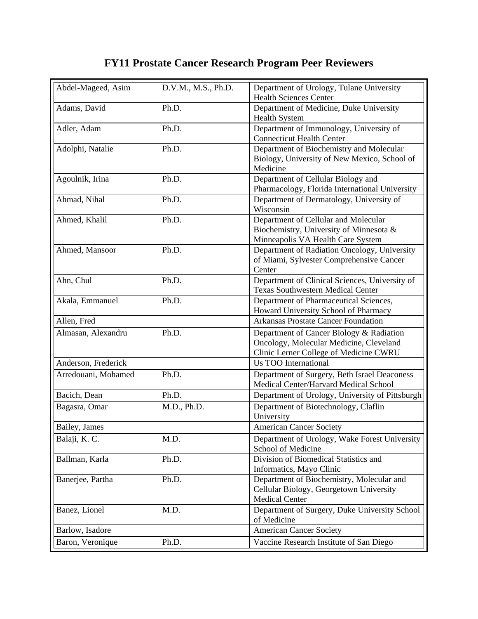## **FY11 Prostate Cancer Research Program Peer Reviewers**

| Abdel-Mageed, Asim  | D.V.M., M.S., Ph.D. | Department of Urology, Tulane University<br><b>Health Sciences Center</b>                                                     |
|---------------------|---------------------|-------------------------------------------------------------------------------------------------------------------------------|
| Adams, David        | Ph.D.               | Department of Medicine, Duke University<br><b>Health System</b>                                                               |
| Adler, Adam         | Ph.D.               | Department of Immunology, University of<br><b>Connecticut Health Center</b>                                                   |
| Adolphi, Natalie    | Ph.D.               | Department of Biochemistry and Molecular<br>Biology, University of New Mexico, School of<br>Medicine                          |
| Agoulnik, Irina     | Ph.D.               | Department of Cellular Biology and<br>Pharmacology, Florida International University                                          |
| Ahmad, Nihal        | Ph.D.               | Department of Dermatology, University of<br>Wisconsin                                                                         |
| Ahmed, Khalil       | Ph.D.               | Department of Cellular and Molecular<br>Biochemistry, University of Minnesota &<br>Minneapolis VA Health Care System          |
| Ahmed, Mansoor      | Ph.D.               | Department of Radiation Oncology, University<br>of Miami, Sylvester Comprehensive Cancer<br>Center                            |
| Ahn, Chul           | Ph.D.               | Department of Clinical Sciences, University of<br><b>Texas Southwestern Medical Center</b>                                    |
| Akala, Emmanuel     | Ph.D.               | Department of Pharmaceutical Sciences,<br>Howard University School of Pharmacy                                                |
| Allen, Fred         |                     | <b>Arkansas Prostate Cancer Foundation</b>                                                                                    |
| Almasan, Alexandru  | Ph.D.               | Department of Cancer Biology & Radiation<br>Oncology, Molecular Medicine, Cleveland<br>Clinic Lerner College of Medicine CWRU |
| Anderson, Frederick |                     | <b>Us TOO International</b>                                                                                                   |
| Arredouani, Mohamed | Ph.D.               | Department of Surgery, Beth Israel Deaconess<br>Medical Center/Harvard Medical School                                         |
| Bacich, Dean        | Ph.D.               | Department of Urology, University of Pittsburgh                                                                               |
| Bagasra, Omar       | M.D., Ph.D.         | Department of Biotechnology, Claflin<br>University                                                                            |
| Bailey, James       |                     | <b>American Cancer Society</b>                                                                                                |
| Balaji, K. C.       | M.D.                | Department of Urology, Wake Forest University<br>School of Medicine                                                           |
| Ballman, Karla      | Ph.D.               | Division of Biomedical Statistics and<br>Informatics, Mayo Clinic                                                             |
| Banerjee, Partha    | Ph.D.               | Department of Biochemistry, Molecular and<br>Cellular Biology, Georgetown University<br><b>Medical Center</b>                 |
| Banez, Lionel       | M.D.                | Department of Surgery, Duke University School<br>of Medicine                                                                  |
| Barlow, Isadore     |                     | <b>American Cancer Society</b>                                                                                                |
| Baron, Veronique    | Ph.D.               | Vaccine Research Institute of San Diego                                                                                       |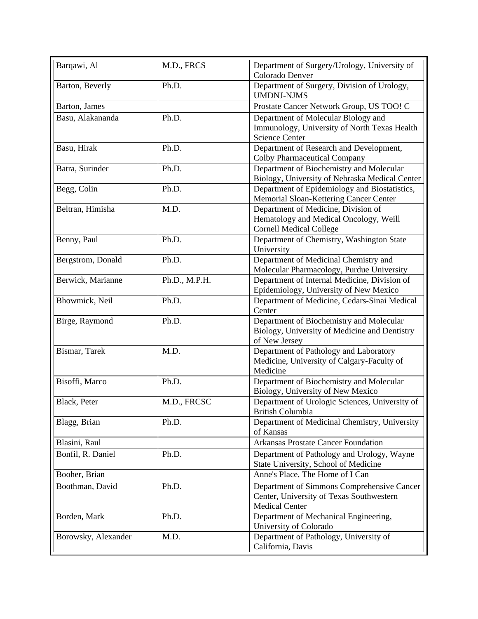| Barqawi, Al         | M.D., FRCS    | Department of Surgery/Urology, University of<br>Colorado Denver                                                 |
|---------------------|---------------|-----------------------------------------------------------------------------------------------------------------|
| Barton, Beverly     | Ph.D.         | Department of Surgery, Division of Urology,<br><b>UMDNJ-NJMS</b>                                                |
| Barton, James       |               | Prostate Cancer Network Group, US TOO! C                                                                        |
| Basu, Alakananda    | Ph.D.         | Department of Molecular Biology and<br>Immunology, University of North Texas Health<br><b>Science Center</b>    |
| Basu, Hirak         | Ph.D.         | Department of Research and Development,<br><b>Colby Pharmaceutical Company</b>                                  |
| Batra, Surinder     | Ph.D.         | Department of Biochemistry and Molecular<br>Biology, University of Nebraska Medical Center                      |
| Begg, Colin         | Ph.D.         | Department of Epidemiology and Biostatistics,<br>Memorial Sloan-Kettering Cancer Center                         |
| Beltran, Himisha    | M.D.          | Department of Medicine, Division of<br>Hematology and Medical Oncology, Weill<br><b>Cornell Medical College</b> |
| Benny, Paul         | Ph.D.         | Department of Chemistry, Washington State<br>University                                                         |
| Bergstrom, Donald   | Ph.D.         | Department of Medicinal Chemistry and<br>Molecular Pharmacology, Purdue University                              |
| Berwick, Marianne   | Ph.D., M.P.H. | Department of Internal Medicine, Division of<br>Epidemiology, University of New Mexico                          |
| Bhowmick, Neil      | Ph.D.         | Department of Medicine, Cedars-Sinai Medical<br>Center                                                          |
| Birge, Raymond      | Ph.D.         | Department of Biochemistry and Molecular<br>Biology, University of Medicine and Dentistry<br>of New Jersey      |
| Bismar, Tarek       | M.D.          | Department of Pathology and Laboratory<br>Medicine, University of Calgary-Faculty of<br>Medicine                |
| Bisoffi, Marco      | Ph.D.         | Department of Biochemistry and Molecular<br>Biology, University of New Mexico                                   |
| Black, Peter        | M.D., FRCSC   | Department of Urologic Sciences, University of<br><b>British Columbia</b>                                       |
| Blagg, Brian        | Ph.D.         | Department of Medicinal Chemistry, University<br>of Kansas                                                      |
| Blasini, Raul       |               | <b>Arkansas Prostate Cancer Foundation</b>                                                                      |
| Bonfil, R. Daniel   | Ph.D.         | Department of Pathology and Urology, Wayne<br>State University, School of Medicine                              |
| Booher, Brian       |               | Anne's Place, The Home of I Can                                                                                 |
| Boothman, David     | Ph.D.         | Department of Simmons Comprehensive Cancer<br>Center, University of Texas Southwestern<br><b>Medical Center</b> |
| Borden, Mark        | Ph.D.         | Department of Mechanical Engineering,<br>University of Colorado                                                 |
| Borowsky, Alexander | M.D.          | Department of Pathology, University of<br>California, Davis                                                     |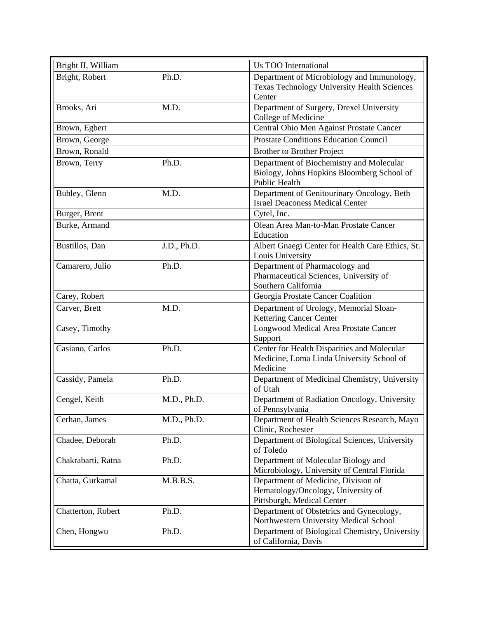| Bright II, William |             | <b>Us TOO International</b>                                                                             |
|--------------------|-------------|---------------------------------------------------------------------------------------------------------|
| Bright, Robert     | Ph.D.       | Department of Microbiology and Immunology,<br>Texas Technology University Health Sciences<br>Center     |
| Brooks, Ari        | M.D.        | Department of Surgery, Drexel University<br>College of Medicine                                         |
| Brown, Egbert      |             | Central Ohio Men Against Prostate Cancer                                                                |
| Brown, George      |             | <b>Prostate Conditions Education Council</b>                                                            |
| Brown, Ronald      |             | <b>Brother to Brother Project</b>                                                                       |
| Brown, Terry       | Ph.D.       | Department of Biochemistry and Molecular<br>Biology, Johns Hopkins Bloomberg School of<br>Public Health |
| Bubley, Glenn      | M.D.        | Department of Genitourinary Oncology, Beth<br><b>Israel Deaconess Medical Center</b>                    |
| Burger, Brent      |             | Cytel, Inc.                                                                                             |
| Burke, Armand      |             | Olean Area Man-to-Man Prostate Cancer<br>Education                                                      |
| Bustillos, Dan     | J.D., Ph.D. | Albert Gnaegi Center for Health Care Ethics, St.<br>Louis University                                    |
| Camarero, Julio    | Ph.D.       | Department of Pharmacology and<br>Pharmaceutical Sciences, University of<br>Southern California         |
| Carey, Robert      |             | Georgia Prostate Cancer Coalition                                                                       |
| Carver, Brett      | M.D.        | Department of Urology, Memorial Sloan-<br>Kettering Cancer Center                                       |
| Casey, Timothy     |             | Longwood Medical Area Prostate Cancer<br>Support                                                        |
| Casiano, Carlos    | Ph.D.       | Center for Health Disparities and Molecular<br>Medicine, Loma Linda University School of<br>Medicine    |
| Cassidy, Pamela    | Ph.D.       | Department of Medicinal Chemistry, University<br>of Utah                                                |
| Cengel, Keith      | M.D., Ph.D. | Department of Radiation Oncology, University<br>of Pennsylvania                                         |
| Cerhan, James      | M.D., Ph.D. | Department of Health Sciences Research, Mayo<br>Clinic, Rochester                                       |
| Chadee, Deborah    | Ph.D.       | Department of Biological Sciences, University<br>of Toledo                                              |
| Chakrabarti, Ratna | Ph.D.       | Department of Molecular Biology and<br>Microbiology, University of Central Florida                      |
| Chatta, Gurkamal   | M.B.B.S.    | Department of Medicine, Division of<br>Hematology/Oncology, University of<br>Pittsburgh, Medical Center |
| Chatterton, Robert | Ph.D.       | Department of Obstetrics and Gynecology,<br>Northwestern University Medical School                      |
| Chen, Hongwu       | Ph.D.       | Department of Biological Chemistry, University<br>of California, Davis                                  |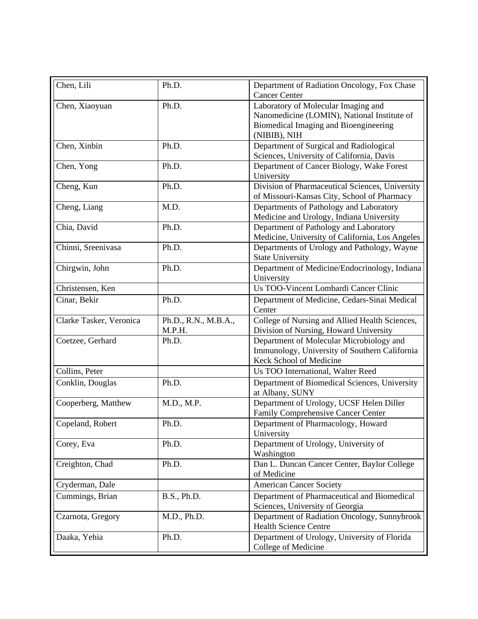| Chen, Lili              | Ph.D.                | Department of Radiation Oncology, Fox Chase<br><b>Cancer Center</b> |
|-------------------------|----------------------|---------------------------------------------------------------------|
| Chen, Xiaoyuan          | Ph.D.                | Laboratory of Molecular Imaging and                                 |
|                         |                      | Nanomedicine (LOMIN), National Institute of                         |
|                         |                      | Biomedical Imaging and Bioengineering                               |
|                         |                      | (NIBIB), NIH                                                        |
| Chen, Xinbin            | Ph.D.                | Department of Surgical and Radiological                             |
|                         |                      | Sciences, University of California, Davis                           |
| Chen, Yong              | Ph.D.                | Department of Cancer Biology, Wake Forest                           |
|                         |                      | University                                                          |
| Cheng, Kun              | Ph.D.                | Division of Pharmaceutical Sciences, University                     |
|                         |                      | of Missouri-Kansas City, School of Pharmacy                         |
| Cheng, Liang            | M.D.                 | Departments of Pathology and Laboratory                             |
|                         |                      | Medicine and Urology, Indiana University                            |
| Chia, David             | Ph.D.                | Department of Pathology and Laboratory                              |
|                         |                      | Medicine, University of California, Los Angeles                     |
| Chinni, Sreenivasa      | Ph.D.                | Departments of Urology and Pathology, Wayne                         |
|                         |                      | <b>State University</b>                                             |
| Chirgwin, John          | Ph.D.                | Department of Medicine/Endocrinology, Indiana                       |
|                         |                      | University                                                          |
| Christensen, Ken        |                      | Us TOO-Vincent Lombardi Cancer Clinic                               |
| Cinar, Bekir            | Ph.D.                | Department of Medicine, Cedars-Sinai Medical                        |
|                         |                      | Center                                                              |
| Clarke Tasker, Veronica | Ph.D., R.N., M.B.A., | College of Nursing and Allied Health Sciences,                      |
|                         | M.P.H.               | Division of Nursing, Howard University                              |
| Coetzee, Gerhard        | Ph.D.                | Department of Molecular Microbiology and                            |
|                         |                      | Immunology, University of Southern California                       |
|                         |                      | Keck School of Medicine                                             |
| Collins, Peter          |                      | Us TOO International, Walter Reed                                   |
| Conklin, Douglas        | Ph.D.                | Department of Biomedical Sciences, University                       |
|                         |                      | at Albany, SUNY                                                     |
| Cooperberg, Matthew     | M.D., M.P.           | Department of Urology, UCSF Helen Diller                            |
|                         |                      | Family Comprehensive Cancer Center                                  |
| Copeland, Robert        | Ph.D.                | Department of Pharmacology, Howard                                  |
|                         |                      | University                                                          |
| Corey, Eva              | Ph.D.                | Department of Urology, University of                                |
|                         |                      | Washington                                                          |
| Creighton, Chad         | Ph.D.                | Dan L. Duncan Cancer Center, Baylor College                         |
|                         |                      | of Medicine                                                         |
| Cryderman, Dale         |                      | <b>American Cancer Society</b>                                      |
| Cummings, Brian         | B.S., Ph.D.          | Department of Pharmaceutical and Biomedical                         |
|                         |                      | Sciences, University of Georgia                                     |
| Czarnota, Gregory       | M.D., Ph.D.          | Department of Radiation Oncology, Sunnybrook                        |
|                         |                      | <b>Health Science Centre</b>                                        |
| Daaka, Yehia            | Ph.D.                | Department of Urology, University of Florida                        |
|                         |                      | College of Medicine                                                 |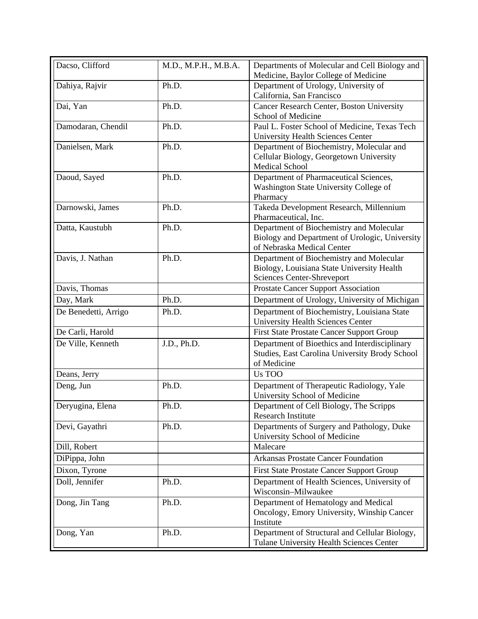| Dacso, Clifford      | M.D., M.P.H., M.B.A. | Departments of Molecular and Cell Biology and<br>Medicine, Baylor College of Medicine                                    |
|----------------------|----------------------|--------------------------------------------------------------------------------------------------------------------------|
| Dahiya, Rajvir       | Ph.D.                | Department of Urology, University of<br>California, San Francisco                                                        |
| Dai, Yan             | Ph.D.                | Cancer Research Center, Boston University<br>School of Medicine                                                          |
| Damodaran, Chendil   | Ph.D.                | Paul L. Foster School of Medicine, Texas Tech<br><b>University Health Sciences Center</b>                                |
| Danielsen, Mark      | Ph.D.                | Department of Biochemistry, Molecular and<br>Cellular Biology, Georgetown University<br><b>Medical School</b>            |
| Daoud, Sayed         | Ph.D.                | Department of Pharmaceutical Sciences,<br>Washington State University College of<br>Pharmacy                             |
| Darnowski, James     | Ph.D.                | Takeda Development Research, Millennium<br>Pharmaceutical, Inc.                                                          |
| Datta, Kaustubh      | Ph.D.                | Department of Biochemistry and Molecular<br>Biology and Department of Urologic, University<br>of Nebraska Medical Center |
| Davis, J. Nathan     | Ph.D.                | Department of Biochemistry and Molecular<br>Biology, Louisiana State University Health<br>Sciences Center-Shreveport     |
| Davis, Thomas        |                      | <b>Prostate Cancer Support Association</b>                                                                               |
| Day, Mark            | Ph.D.                | Department of Urology, University of Michigan                                                                            |
| De Benedetti, Arrigo | Ph.D.                | Department of Biochemistry, Louisiana State<br><b>University Health Sciences Center</b>                                  |
| De Carli, Harold     |                      | <b>First State Prostate Cancer Support Group</b>                                                                         |
| De Ville, Kenneth    | J.D., Ph.D.          | Department of Bioethics and Interdisciplinary<br>Studies, East Carolina University Brody School<br>of Medicine           |
| Deans, Jerry         |                      | Us TOO                                                                                                                   |
| Deng, Jun            | Ph.D.                | Department of Therapeutic Radiology, Yale<br>University School of Medicine                                               |
| Deryugina, Elena     | Ph.D.                | Department of Cell Biology, The Scripps<br>Research Institute                                                            |
| Devi, Gayathri       | Ph.D.                | Departments of Surgery and Pathology, Duke<br>University School of Medicine                                              |
| Dill, Robert         |                      | Malecare                                                                                                                 |
| DiPippa, John        |                      | <b>Arkansas Prostate Cancer Foundation</b>                                                                               |
| Dixon, Tyrone        |                      | <b>First State Prostate Cancer Support Group</b>                                                                         |
| Doll, Jennifer       | Ph.D.                | Department of Health Sciences, University of<br>Wisconsin-Milwaukee                                                      |
| Dong, Jin Tang       | Ph.D.                | Department of Hematology and Medical<br>Oncology, Emory University, Winship Cancer<br>Institute                          |
| Dong, Yan            | Ph.D.                | Department of Structural and Cellular Biology,<br>Tulane University Health Sciences Center                               |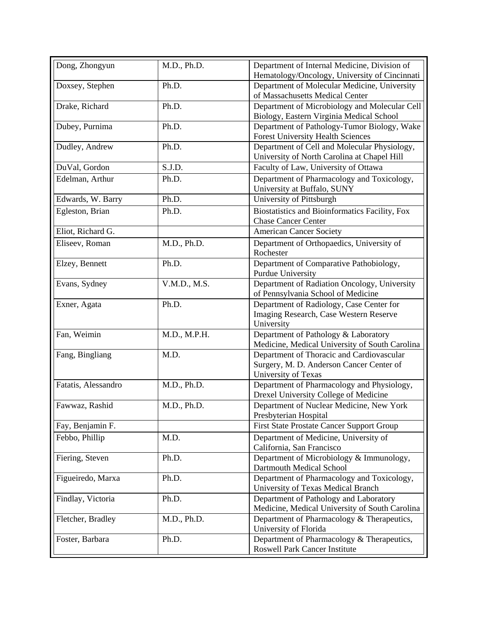| Dong, Zhongyun      | M.D., Ph.D.  | Department of Internal Medicine, Division of                                             |
|---------------------|--------------|------------------------------------------------------------------------------------------|
|                     |              | Hematology/Oncology, University of Cincinnati                                            |
| Doxsey, Stephen     | Ph.D.        | Department of Molecular Medicine, University<br>of Massachusetts Medical Center          |
| Drake, Richard      | Ph.D.        | Department of Microbiology and Molecular Cell                                            |
|                     |              | Biology, Eastern Virginia Medical School                                                 |
| Dubey, Purnima      | Ph.D.        | Department of Pathology-Tumor Biology, Wake                                              |
|                     |              | <b>Forest University Health Sciences</b>                                                 |
| Dudley, Andrew      | Ph.D.        | Department of Cell and Molecular Physiology,                                             |
|                     |              | University of North Carolina at Chapel Hill                                              |
| DuVal, Gordon       | S.J.D.       | Faculty of Law, University of Ottawa                                                     |
| Edelman, Arthur     | Ph.D.        | Department of Pharmacology and Toxicology,                                               |
|                     |              | University at Buffalo, SUNY                                                              |
| Edwards, W. Barry   | Ph.D.        | University of Pittsburgh                                                                 |
| Egleston, Brian     | Ph.D.        | Biostatistics and Bioinformatics Facility, Fox                                           |
|                     |              | <b>Chase Cancer Center</b>                                                               |
| Eliot, Richard G.   |              | <b>American Cancer Society</b>                                                           |
| Eliseev, Roman      | M.D., Ph.D.  | Department of Orthopaedics, University of                                                |
|                     |              | Rochester                                                                                |
| Elzey, Bennett      | Ph.D.        | Department of Comparative Pathobiology,                                                  |
|                     |              | <b>Purdue University</b>                                                                 |
| Evans, Sydney       | V.M.D., M.S. | Department of Radiation Oncology, University                                             |
|                     |              | of Pennsylvania School of Medicine                                                       |
| Exner, Agata        | Ph.D.        | Department of Radiology, Case Center for                                                 |
|                     |              | Imaging Research, Case Western Reserve                                                   |
|                     |              | University                                                                               |
| Fan, Weimin         | M.D., M.P.H. | Department of Pathology & Laboratory                                                     |
|                     |              | Medicine, Medical University of South Carolina                                           |
| Fang, Bingliang     | M.D.         | Department of Thoracic and Cardiovascular                                                |
|                     |              | Surgery, M. D. Anderson Cancer Center of                                                 |
|                     |              | University of Texas                                                                      |
| Fatatis, Alessandro | M.D., Ph.D.  | Department of Pharmacology and Physiology,                                               |
|                     |              | Drexel University College of Medicine                                                    |
| Fawwaz, Rashid      | M.D., Ph.D.  | Department of Nuclear Medicine, New York                                                 |
|                     |              | Presbyterian Hospital                                                                    |
| Fay, Benjamin F.    |              | <b>First State Prostate Cancer Support Group</b>                                         |
| Febbo, Phillip      | M.D.         | Department of Medicine, University of                                                    |
|                     |              | California, San Francisco                                                                |
| Fiering, Steven     | Ph.D.        | Department of Microbiology & Immunology,                                                 |
|                     |              | <b>Dartmouth Medical School</b><br>Department of Pharmacology and Toxicology,            |
| Figueiredo, Marxa   | Ph.D.        | University of Texas Medical Branch                                                       |
|                     | Ph.D.        |                                                                                          |
| Findlay, Victoria   |              | Department of Pathology and Laboratory<br>Medicine, Medical University of South Carolina |
| Fletcher, Bradley   | M.D., Ph.D.  | Department of Pharmacology & Therapeutics,                                               |
|                     |              | University of Florida                                                                    |
| Foster, Barbara     | Ph.D.        | Department of Pharmacology & Therapeutics,                                               |
|                     |              | <b>Roswell Park Cancer Institute</b>                                                     |
|                     |              |                                                                                          |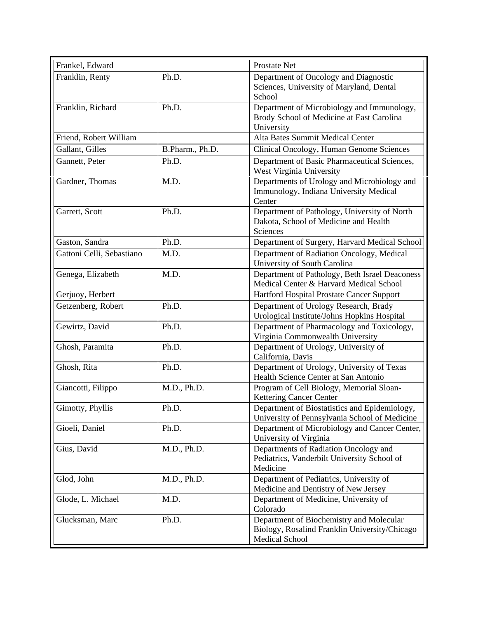| Frankel, Edward           |                 | Prostate Net                                                                                                |
|---------------------------|-----------------|-------------------------------------------------------------------------------------------------------------|
| Franklin, Renty           | Ph.D.           | Department of Oncology and Diagnostic<br>Sciences, University of Maryland, Dental<br>School                 |
| Franklin, Richard         | Ph.D.           | Department of Microbiology and Immunology,<br>Brody School of Medicine at East Carolina<br>University       |
| Friend, Robert William    |                 | Alta Bates Summit Medical Center                                                                            |
| Gallant, Gilles           | B.Pharm., Ph.D. | Clinical Oncology, Human Genome Sciences                                                                    |
| Gannett, Peter            | Ph.D.           | Department of Basic Pharmaceutical Sciences,<br>West Virginia University                                    |
| Gardner, Thomas           | M.D.            | Departments of Urology and Microbiology and<br>Immunology, Indiana University Medical<br>Center             |
| Garrett, Scott            | Ph.D.           | Department of Pathology, University of North<br>Dakota, School of Medicine and Health<br>Sciences           |
| Gaston, Sandra            | Ph.D.           | Department of Surgery, Harvard Medical School                                                               |
| Gattoni Celli, Sebastiano | M.D.            | Department of Radiation Oncology, Medical<br>University of South Carolina                                   |
| Genega, Elizabeth         | M.D.            | Department of Pathology, Beth Israel Deaconess<br>Medical Center & Harvard Medical School                   |
| Gerjuoy, Herbert          |                 | Hartford Hospital Prostate Cancer Support                                                                   |
| Getzenberg, Robert        | Ph.D.           | Department of Urology Research, Brady<br>Urological Institute/Johns Hopkins Hospital                        |
| Gewirtz, David            | Ph.D.           | Department of Pharmacology and Toxicology,<br>Virginia Commonwealth University                              |
| Ghosh, Paramita           | Ph.D.           | Department of Urology, University of<br>California, Davis                                                   |
| Ghosh, Rita               | Ph.D.           | Department of Urology, University of Texas<br>Health Science Center at San Antonio                          |
| Giancotti, Filippo        | M.D., Ph.D.     | Program of Cell Biology, Memorial Sloan-<br>Kettering Cancer Center                                         |
| Gimotty, Phyllis          | Ph.D.           | Department of Biostatistics and Epidemiology,<br>University of Pennsylvania School of Medicine              |
| Gioeli, Daniel            | Ph.D.           | Department of Microbiology and Cancer Center,<br>University of Virginia                                     |
| Gius, David               | M.D., Ph.D.     | Departments of Radiation Oncology and<br>Pediatrics, Vanderbilt University School of<br>Medicine            |
| Glod, John                | M.D., Ph.D.     | Department of Pediatrics, University of<br>Medicine and Dentistry of New Jersey                             |
| Glode, L. Michael         | M.D.            | Department of Medicine, University of<br>Colorado                                                           |
| Glucksman, Marc           | Ph.D.           | Department of Biochemistry and Molecular<br>Biology, Rosalind Franklin University/Chicago<br>Medical School |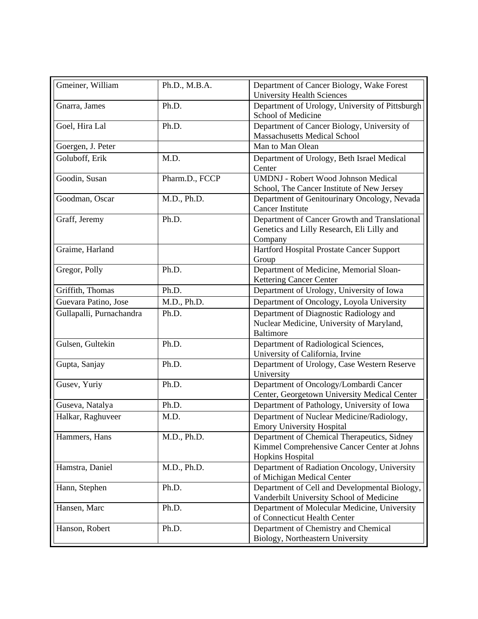| Gmeiner, William         | Ph.D., M.B.A.  | Department of Cancer Biology, Wake Forest       |
|--------------------------|----------------|-------------------------------------------------|
|                          |                | <b>University Health Sciences</b>               |
| Gnarra, James            | Ph.D.          | Department of Urology, University of Pittsburgh |
|                          |                | School of Medicine                              |
| Goel, Hira Lal           | Ph.D.          | Department of Cancer Biology, University of     |
|                          |                | <b>Massachusetts Medical School</b>             |
| Goergen, J. Peter        |                | Man to Man Olean                                |
| Goluboff, Erik           | M.D.           | Department of Urology, Beth Israel Medical      |
|                          |                | Center                                          |
| Goodin, Susan            | Pharm.D., FCCP | <b>UMDNJ</b> - Robert Wood Johnson Medical      |
|                          |                | School, The Cancer Institute of New Jersey      |
| Goodman, Oscar           | M.D., Ph.D.    | Department of Genitourinary Oncology, Nevada    |
|                          |                | <b>Cancer Institute</b>                         |
| Graff, Jeremy            | Ph.D.          | Department of Cancer Growth and Translational   |
|                          |                | Genetics and Lilly Research, Eli Lilly and      |
|                          |                | Company                                         |
| Graime, Harland          |                | Hartford Hospital Prostate Cancer Support       |
|                          |                | Group                                           |
| Gregor, Polly            | Ph.D.          | Department of Medicine, Memorial Sloan-         |
|                          |                | <b>Kettering Cancer Center</b>                  |
| Griffith, Thomas         | Ph.D.          | Department of Urology, University of Iowa       |
| Guevara Patino, Jose     | M.D., Ph.D.    | Department of Oncology, Loyola University       |
|                          |                |                                                 |
| Gullapalli, Purnachandra | Ph.D.          | Department of Diagnostic Radiology and          |
|                          |                | Nuclear Medicine, University of Maryland,       |
|                          |                | <b>Baltimore</b>                                |
| Gulsen, Gultekin         | Ph.D.          | Department of Radiological Sciences,            |
|                          |                | University of California, Irvine                |
| Gupta, Sanjay            | Ph.D.          | Department of Urology, Case Western Reserve     |
|                          |                | University                                      |
| Gusev, Yuriy             | Ph.D.          | Department of Oncology/Lombardi Cancer          |
|                          |                | Center, Georgetown University Medical Center    |
| Guseva, Natalya          | Ph.D.          | Department of Pathology, University of Iowa     |
| Halkar, Raghuveer        | M.D.           | Department of Nuclear Medicine/Radiology,       |
|                          |                | <b>Emory University Hospital</b>                |
| Hammers, Hans            | M.D., Ph.D.    | Department of Chemical Therapeutics, Sidney     |
|                          |                | Kimmel Comprehensive Cancer Center at Johns     |
|                          |                | <b>Hopkins Hospital</b>                         |
| Hamstra, Daniel          | M.D., Ph.D.    | Department of Radiation Oncology, University    |
|                          |                | of Michigan Medical Center                      |
| Hann, Stephen            | Ph.D.          | Department of Cell and Developmental Biology,   |
|                          |                | Vanderbilt University School of Medicine        |
| Hansen, Marc             | Ph.D.          | Department of Molecular Medicine, University    |
|                          |                | of Connecticut Health Center                    |
| Hanson, Robert           | Ph.D.          | Department of Chemistry and Chemical            |
|                          |                |                                                 |
|                          |                | Biology, Northeastern University                |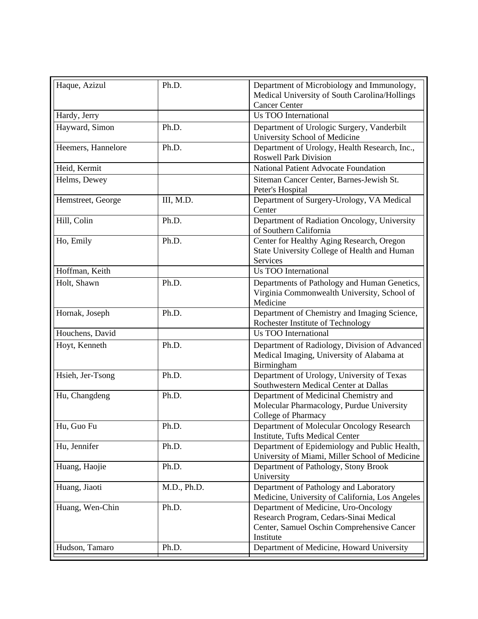| Haque, Azizul      | Ph.D.       | Department of Microbiology and Immunology,<br>Medical University of South Carolina/Hollings<br><b>Cancer Center</b>                       |
|--------------------|-------------|-------------------------------------------------------------------------------------------------------------------------------------------|
| Hardy, Jerry       |             | <b>Us TOO International</b>                                                                                                               |
| Hayward, Simon     | Ph.D.       | Department of Urologic Surgery, Vanderbilt<br>University School of Medicine                                                               |
| Heemers, Hannelore | Ph.D.       | Department of Urology, Health Research, Inc.,<br><b>Roswell Park Division</b>                                                             |
| Heid, Kermit       |             | <b>National Patient Advocate Foundation</b>                                                                                               |
| Helms, Dewey       |             | Siteman Cancer Center, Barnes-Jewish St.<br>Peter's Hospital                                                                              |
| Hemstreet, George  | III, M.D.   | Department of Surgery-Urology, VA Medical<br>Center                                                                                       |
| Hill, Colin        | Ph.D.       | Department of Radiation Oncology, University<br>of Southern California                                                                    |
| Ho, Emily          | Ph.D.       | Center for Healthy Aging Research, Oregon<br>State University College of Health and Human<br>Services                                     |
| Hoffman, Keith     |             | <b>Us TOO International</b>                                                                                                               |
| Holt, Shawn        | Ph.D.       | Departments of Pathology and Human Genetics,<br>Virginia Commonwealth University, School of<br>Medicine                                   |
| Hornak, Joseph     | Ph.D.       | Department of Chemistry and Imaging Science,<br>Rochester Institute of Technology                                                         |
| Houchens, David    |             | <b>Us TOO International</b>                                                                                                               |
| Hoyt, Kenneth      | Ph.D.       | Department of Radiology, Division of Advanced<br>Medical Imaging, University of Alabama at<br>Birmingham                                  |
| Hsieh, Jer-Tsong   | Ph.D.       | Department of Urology, University of Texas<br>Southwestern Medical Center at Dallas                                                       |
| Hu, Changdeng      | Ph.D.       | Department of Medicinal Chemistry and<br>Molecular Pharmacology, Purdue University<br>College of Pharmacy                                 |
| Hu, Guo Fu         | Ph.D.       | Department of Molecular Oncology Research<br>Institute, Tufts Medical Center                                                              |
| Hu, Jennifer       | Ph.D.       | Department of Epidemiology and Public Health,<br>University of Miami, Miller School of Medicine                                           |
| Huang, Haojie      | Ph.D.       | Department of Pathology, Stony Brook<br>University                                                                                        |
| Huang, Jiaoti      | M.D., Ph.D. | Department of Pathology and Laboratory<br>Medicine, University of California, Los Angeles                                                 |
| Huang, Wen-Chin    | Ph.D.       | Department of Medicine, Uro-Oncology<br>Research Program, Cedars-Sinai Medical<br>Center, Samuel Oschin Comprehensive Cancer<br>Institute |
| Hudson, Tamaro     | Ph.D.       | Department of Medicine, Howard University                                                                                                 |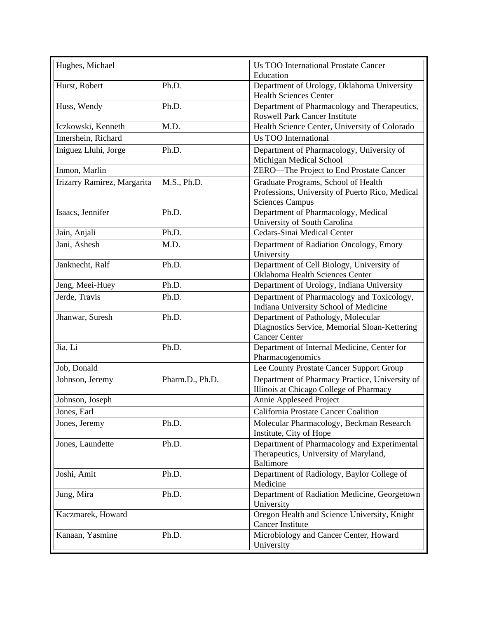| Hughes, Michael             |                 | <b>Us TOO International Prostate Cancer</b>                                                                      |
|-----------------------------|-----------------|------------------------------------------------------------------------------------------------------------------|
| Hurst, Robert               | Ph.D.           | Education<br>Department of Urology, Oklahoma University                                                          |
|                             |                 | <b>Health Sciences Center</b>                                                                                    |
| Huss, Wendy                 | Ph.D.           | Department of Pharmacology and Therapeutics,                                                                     |
|                             |                 | <b>Roswell Park Cancer Institute</b>                                                                             |
| Iczkowski, Kenneth          | M.D.            | Health Science Center, University of Colorado                                                                    |
| Imershein, Richard          |                 | <b>Us TOO International</b>                                                                                      |
| Iniguez Lluhi, Jorge        | Ph.D.           | Department of Pharmacology, University of<br>Michigan Medical School                                             |
| Inmon, Marlin               |                 | ZERO-The Project to End Prostate Cancer                                                                          |
| Irizarry Ramirez, Margarita | M.S., Ph.D.     | Graduate Programs, School of Health<br>Professions, University of Puerto Rico, Medical<br><b>Sciences Campus</b> |
| Isaacs, Jennifer            | Ph.D.           | Department of Pharmacology, Medical<br>University of South Carolina                                              |
| Jain, Anjali                | Ph.D.           | Cedars-Sinai Medical Center                                                                                      |
| Jani, Ashesh                | M.D.            | Department of Radiation Oncology, Emory<br>University                                                            |
| Janknecht, Ralf             | Ph.D.           | Department of Cell Biology, University of<br>Oklahoma Health Sciences Center                                     |
| Jeng, Meei-Huey             | Ph.D.           | Department of Urology, Indiana University                                                                        |
| Jerde, Travis               | Ph.D.           | Department of Pharmacology and Toxicology,<br>Indiana University School of Medicine                              |
| Jhanwar, Suresh             | Ph.D.           | Department of Pathology, Molecular<br>Diagnostics Service, Memorial Sloan-Kettering<br><b>Cancer Center</b>      |
| Jia, Li                     | Ph.D.           | Department of Internal Medicine, Center for<br>Pharmacogenomics                                                  |
| Job, Donald                 |                 | Lee County Prostate Cancer Support Group                                                                         |
| Johnson, Jeremy             | Pharm.D., Ph.D. | Department of Pharmacy Practice, University of<br>Illinois at Chicago College of Pharmacy                        |
| Johnson, Joseph             |                 | Annie Appleseed Project                                                                                          |
| Jones, Earl                 |                 | California Prostate Cancer Coalition                                                                             |
| Jones, Jeremy               | Ph.D.           | Molecular Pharmacology, Beckman Research<br>Institute, City of Hope                                              |
| Jones, Laundette            | Ph.D.           | Department of Pharmacology and Experimental<br>Therapeutics, University of Maryland,<br>Baltimore                |
| Joshi, Amit                 | Ph.D.           | Department of Radiology, Baylor College of<br>Medicine                                                           |
| Jung, Mira                  | Ph.D.           | Department of Radiation Medicine, Georgetown<br>University                                                       |
| Kaczmarek, Howard           |                 | Oregon Health and Science University, Knight<br><b>Cancer Institute</b>                                          |
| Kanaan, Yasmine             | Ph.D.           | Microbiology and Cancer Center, Howard<br>University                                                             |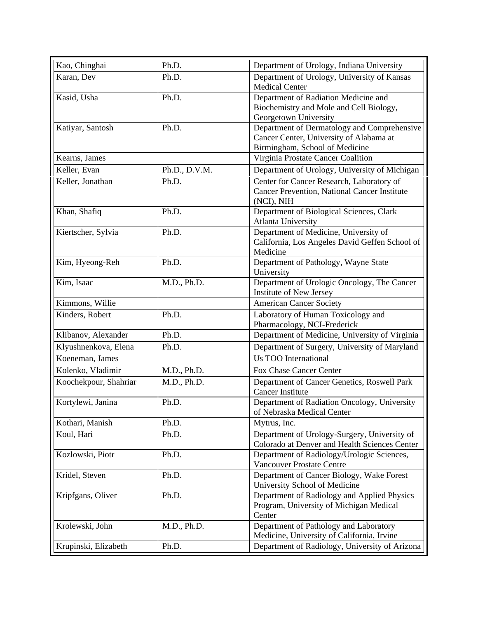| Kao, Chinghai         | Ph.D.         | Department of Urology, Indiana University                                                 |
|-----------------------|---------------|-------------------------------------------------------------------------------------------|
| Karan, Dev            | Ph.D.         | Department of Urology, University of Kansas                                               |
|                       |               | <b>Medical Center</b>                                                                     |
| Kasid, Usha           | Ph.D.         | Department of Radiation Medicine and                                                      |
|                       |               | Biochemistry and Mole and Cell Biology,                                                   |
|                       |               | Georgetown University                                                                     |
| Katiyar, Santosh      | Ph.D.         | Department of Dermatology and Comprehensive                                               |
|                       |               | Cancer Center, University of Alabama at                                                   |
| Kearns, James         |               | Birmingham, School of Medicine<br>Virginia Prostate Cancer Coalition                      |
| Keller, Evan          | Ph.D., D.V.M. | Department of Urology, University of Michigan                                             |
|                       |               |                                                                                           |
| Keller, Jonathan      | Ph.D.         | Center for Cancer Research, Laboratory of<br>Cancer Prevention, National Cancer Institute |
|                       |               | (NCI), NIH                                                                                |
| Khan, Shafiq          | Ph.D.         | Department of Biological Sciences, Clark                                                  |
|                       |               | <b>Atlanta University</b>                                                                 |
| Kiertscher, Sylvia    | Ph.D.         | Department of Medicine, University of                                                     |
|                       |               | California, Los Angeles David Geffen School of                                            |
|                       |               | Medicine                                                                                  |
| Kim, Hyeong-Reh       | Ph.D.         | Department of Pathology, Wayne State                                                      |
|                       |               | University                                                                                |
| Kim, Isaac            | M.D., Ph.D.   | Department of Urologic Oncology, The Cancer                                               |
|                       |               | Institute of New Jersey                                                                   |
| Kimmons, Willie       |               | <b>American Cancer Society</b>                                                            |
| Kinders, Robert       | Ph.D.         | Laboratory of Human Toxicology and<br>Pharmacology, NCI-Frederick                         |
| Klibanov, Alexander   | Ph.D.         | Department of Medicine, University of Virginia                                            |
| Klyushnenkova, Elena  | Ph.D.         | Department of Surgery, University of Maryland                                             |
| Koeneman, James       |               | <b>Us TOO International</b>                                                               |
| Kolenko, Vladimir     | M.D., Ph.D.   | Fox Chase Cancer Center                                                                   |
| Koochekpour, Shahriar | M.D., Ph.D.   | Department of Cancer Genetics, Roswell Park                                               |
|                       |               | <b>Cancer Institute</b>                                                                   |
| Kortylewi, Janina     | Ph.D.         | Department of Radiation Oncology, University                                              |
|                       |               | of Nebraska Medical Center                                                                |
| Kothari, Manish       | Ph.D.         | Mytrus, Inc.                                                                              |
| Koul, Hari            | Ph.D.         | Department of Urology-Surgery, University of                                              |
|                       |               | Colorado at Denver and Health Sciences Center                                             |
| Kozlowski, Piotr      | Ph.D.         | Department of Radiology/Urologic Sciences,                                                |
|                       |               | Vancouver Prostate Centre                                                                 |
| Kridel, Steven        | Ph.D.         | Department of Cancer Biology, Wake Forest                                                 |
|                       |               | University School of Medicine                                                             |
| Kripfgans, Oliver     | Ph.D.         | Department of Radiology and Applied Physics<br>Program, University of Michigan Medical    |
|                       |               | Center                                                                                    |
| Krolewski, John       | M.D., Ph.D.   | Department of Pathology and Laboratory                                                    |
|                       |               | Medicine, University of California, Irvine                                                |
| Krupinski, Elizabeth  | Ph.D.         | Department of Radiology, University of Arizona                                            |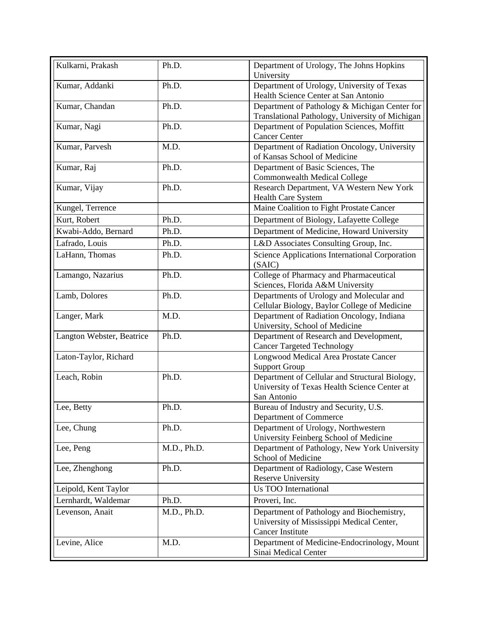| Kulkarni, Prakash         | Ph.D.       | Department of Urology, The Johns Hopkins<br>University                                                        |
|---------------------------|-------------|---------------------------------------------------------------------------------------------------------------|
| Kumar, Addanki            | Ph.D.       | Department of Urology, University of Texas<br>Health Science Center at San Antonio                            |
| Kumar, Chandan            | Ph.D.       | Department of Pathology & Michigan Center for<br>Translational Pathology, University of Michigan              |
| Kumar, Nagi               | Ph.D.       | Department of Population Sciences, Moffitt<br><b>Cancer Center</b>                                            |
| Kumar, Parvesh            | M.D.        | Department of Radiation Oncology, University<br>of Kansas School of Medicine                                  |
| Kumar, Raj                | Ph.D.       | Department of Basic Sciences, The<br><b>Commonwealth Medical College</b>                                      |
| Kumar, Vijay              | Ph.D.       | Research Department, VA Western New York<br><b>Health Care System</b>                                         |
| Kungel, Terrence          |             | Maine Coalition to Fight Prostate Cancer                                                                      |
| Kurt, Robert              | Ph.D.       | Department of Biology, Lafayette College                                                                      |
| Kwabi-Addo, Bernard       | Ph.D.       | Department of Medicine, Howard University                                                                     |
| Lafrado, Louis            | Ph.D.       | L&D Associates Consulting Group, Inc.                                                                         |
| LaHann, Thomas            | Ph.D.       | Science Applications International Corporation<br>(SAIC)                                                      |
| Lamango, Nazarius         | Ph.D.       | College of Pharmacy and Pharmaceutical<br>Sciences, Florida A&M University                                    |
| Lamb, Dolores             | Ph.D.       | Departments of Urology and Molecular and<br>Cellular Biology, Baylor College of Medicine                      |
| Langer, Mark              | M.D.        | Department of Radiation Oncology, Indiana<br>University, School of Medicine                                   |
| Langton Webster, Beatrice | Ph.D.       | Department of Research and Development,<br><b>Cancer Targeted Technology</b>                                  |
| Laton-Taylor, Richard     |             | Longwood Medical Area Prostate Cancer<br><b>Support Group</b>                                                 |
| Leach, Robin              | Ph.D.       | Department of Cellular and Structural Biology,<br>University of Texas Health Science Center at<br>San Antonio |
| Lee, Betty                | Ph.D.       | Bureau of Industry and Security, U.S.<br>Department of Commerce                                               |
| Lee, Chung                | Ph.D.       | Department of Urology, Northwestern<br>University Feinberg School of Medicine                                 |
| Lee, Peng                 | M.D., Ph.D. | Department of Pathology, New York University<br>School of Medicine                                            |
| Lee, Zhenghong            | Ph.D.       | Department of Radiology, Case Western<br><b>Reserve University</b>                                            |
| Leipold, Kent Taylor      |             | <b>Us TOO International</b>                                                                                   |
| Lernhardt, Waldemar       | Ph.D.       | Proveri, Inc.                                                                                                 |
| Levenson, Anait           | M.D., Ph.D. | Department of Pathology and Biochemistry,                                                                     |
|                           |             | University of Mississippi Medical Center,<br><b>Cancer Institute</b>                                          |
| Levine, Alice             | M.D.        | Department of Medicine-Endocrinology, Mount<br>Sinai Medical Center                                           |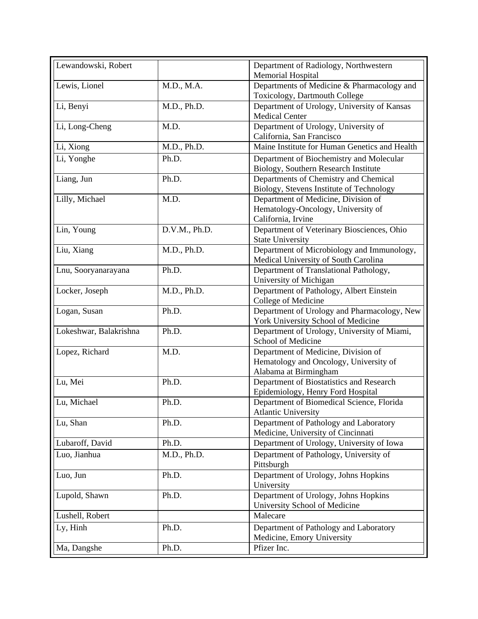| Lewandowski, Robert      |               | Department of Radiology, Northwestern                                              |
|--------------------------|---------------|------------------------------------------------------------------------------------|
|                          |               | Memorial Hospital                                                                  |
| Lewis, Lionel            | M.D., M.A.    | Departments of Medicine & Pharmacology and                                         |
|                          |               | Toxicology, Dartmouth College                                                      |
| Li, Benyi                | M.D., Ph.D.   | Department of Urology, University of Kansas<br><b>Medical Center</b>               |
| Li, Long-Cheng           | M.D.          | Department of Urology, University of                                               |
|                          |               | California, San Francisco                                                          |
| Li, Xiong                | M.D., Ph.D.   | Maine Institute for Human Genetics and Health                                      |
| $\overline{Li}$ , Yonghe | Ph.D.         | Department of Biochemistry and Molecular                                           |
|                          |               | Biology, Southern Research Institute                                               |
| Liang, Jun               | Ph.D.         | Departments of Chemistry and Chemical                                              |
|                          |               | Biology, Stevens Institute of Technology                                           |
| Lilly, Michael           | M.D.          | Department of Medicine, Division of                                                |
|                          |               | Hematology-Oncology, University of                                                 |
|                          |               | California, Irvine                                                                 |
| Lin, Young               | D.V.M., Ph.D. | Department of Veterinary Biosciences, Ohio<br><b>State University</b>              |
|                          |               |                                                                                    |
| Liu, Xiang               | M.D., Ph.D.   | Department of Microbiology and Immunology,<br>Medical University of South Carolina |
| Lnu, Sooryanarayana      | Ph.D.         | Department of Translational Pathology,                                             |
|                          |               | University of Michigan                                                             |
| Locker, Joseph           | M.D., Ph.D.   | Department of Pathology, Albert Einstein                                           |
|                          |               | College of Medicine                                                                |
| Logan, Susan             | Ph.D.         | Department of Urology and Pharmacology, New                                        |
|                          |               | York University School of Medicine                                                 |
| Lokeshwar, Balakrishna   | Ph.D.         | Department of Urology, University of Miami,                                        |
|                          |               | School of Medicine                                                                 |
| Lopez, Richard           | M.D.          | Department of Medicine, Division of                                                |
|                          |               | Hematology and Oncology, University of                                             |
|                          |               | Alabama at Birmingham                                                              |
| Lu, Mei                  | Ph.D.         | Department of Biostatistics and Research                                           |
|                          |               | Epidemiology, Henry Ford Hospital                                                  |
| Lu, Michael              | Ph.D.         | Department of Biomedical Science, Florida<br><b>Atlantic University</b>            |
|                          |               |                                                                                    |
| Lu, Shan                 | Ph.D.         | Department of Pathology and Laboratory<br>Medicine, University of Cincinnati       |
| Lubaroff, David          | Ph.D.         | Department of Urology, University of Iowa                                          |
| Luo, Jianhua             | M.D., Ph.D.   | Department of Pathology, University of                                             |
|                          |               | Pittsburgh                                                                         |
| Luo, Jun                 | Ph.D.         | Department of Urology, Johns Hopkins                                               |
|                          |               | University                                                                         |
| Lupold, Shawn            | Ph.D.         | Department of Urology, Johns Hopkins                                               |
|                          |               | University School of Medicine                                                      |
| Lushell, Robert          |               | Malecare                                                                           |
| Ly, Hinh                 | Ph.D.         | Department of Pathology and Laboratory                                             |
|                          |               | Medicine, Emory University                                                         |
| Ma, Dangshe              | Ph.D.         | Pfizer Inc.                                                                        |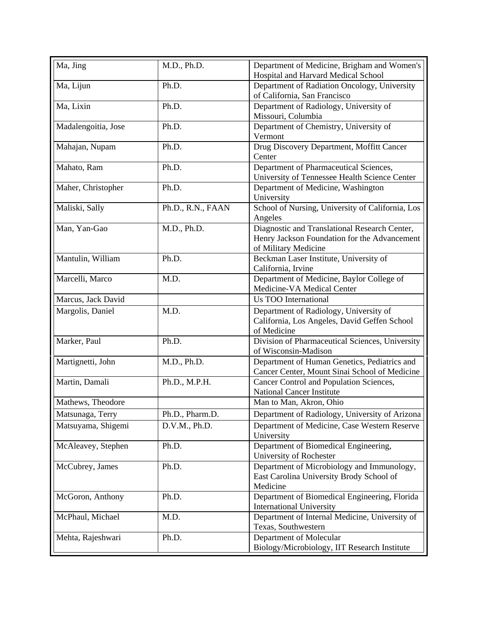| Ma, Jing            | M.D., Ph.D.       | Department of Medicine, Brigham and Women's<br>Hospital and Harvard Medical School                                    |
|---------------------|-------------------|-----------------------------------------------------------------------------------------------------------------------|
| Ma, Lijun           | Ph.D.             | Department of Radiation Oncology, University<br>of California, San Francisco                                          |
| Ma, Lixin           | Ph.D.             | Department of Radiology, University of<br>Missouri, Columbia                                                          |
| Madalengoitia, Jose | Ph.D.             | Department of Chemistry, University of<br>Vermont                                                                     |
| Mahajan, Nupam      | Ph.D.             | Drug Discovery Department, Moffitt Cancer<br>Center                                                                   |
| Mahato, Ram         | Ph.D.             | Department of Pharmaceutical Sciences,<br>University of Tennessee Health Science Center                               |
| Maher, Christopher  | Ph.D.             | Department of Medicine, Washington<br>University                                                                      |
| Maliski, Sally      | Ph.D., R.N., FAAN | School of Nursing, University of California, Los<br>Angeles                                                           |
| Man, Yan-Gao        | M.D., Ph.D.       | Diagnostic and Translational Research Center,<br>Henry Jackson Foundation for the Advancement<br>of Military Medicine |
| Mantulin, William   | Ph.D.             | Beckman Laser Institute, University of<br>California, Irvine                                                          |
| Marcelli, Marco     | M.D.              | Department of Medicine, Baylor College of<br>Medicine-VA Medical Center                                               |
| Marcus, Jack David  |                   | Us TOO International                                                                                                  |
| Margolis, Daniel    | M.D.              | Department of Radiology, University of<br>California, Los Angeles, David Geffen School<br>of Medicine                 |
| Marker, Paul        | Ph.D.             | Division of Pharmaceutical Sciences, University<br>of Wisconsin-Madison                                               |
| Martignetti, John   | M.D., Ph.D.       | Department of Human Genetics, Pediatrics and<br>Cancer Center, Mount Sinai School of Medicine                         |
| Martin, Damali      | Ph.D., M.P.H.     | Cancer Control and Population Sciences,<br><b>National Cancer Institute</b>                                           |
| Mathews, Theodore   |                   | Man to Man, Akron, Ohio                                                                                               |
| Matsunaga, Terry    | Ph.D., Pharm.D.   | Department of Radiology, University of Arizona                                                                        |
| Matsuyama, Shigemi  | D.V.M., Ph.D.     | Department of Medicine, Case Western Reserve<br>University                                                            |
| McAleavey, Stephen  | Ph.D.             | Department of Biomedical Engineering,<br>University of Rochester                                                      |
| McCubrey, James     | Ph.D.             | Department of Microbiology and Immunology,<br>East Carolina University Brody School of<br>Medicine                    |
| McGoron, Anthony    | Ph.D.             | Department of Biomedical Engineering, Florida<br><b>International University</b>                                      |
| McPhaul, Michael    | M.D.              | Department of Internal Medicine, University of<br>Texas, Southwestern                                                 |
| Mehta, Rajeshwari   | Ph.D.             | Department of Molecular<br>Biology/Microbiology, IIT Research Institute                                               |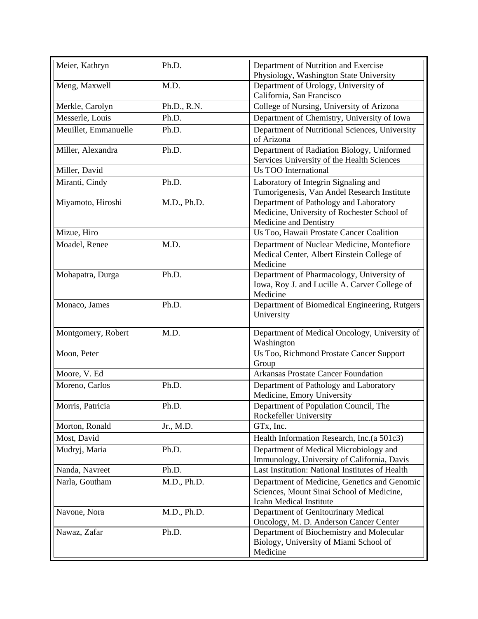| Meier, Kathryn       | Ph.D.       | Department of Nutrition and Exercise<br>Physiology, Washington State University                                             |
|----------------------|-------------|-----------------------------------------------------------------------------------------------------------------------------|
| Meng, Maxwell        | M.D.        | Department of Urology, University of<br>California, San Francisco                                                           |
| Merkle, Carolyn      | Ph.D., R.N. | College of Nursing, University of Arizona                                                                                   |
| Messerle, Louis      | Ph.D.       | Department of Chemistry, University of Iowa                                                                                 |
| Meuillet, Emmanuelle | Ph.D.       | Department of Nutritional Sciences, University<br>of Arizona                                                                |
| Miller, Alexandra    | Ph.D.       | Department of Radiation Biology, Uniformed<br>Services University of the Health Sciences                                    |
| Miller, David        |             | <b>Us TOO International</b>                                                                                                 |
| Miranti, Cindy       | Ph.D.       | Laboratory of Integrin Signaling and<br>Tumorigenesis, Van Andel Research Institute                                         |
| Miyamoto, Hiroshi    | M.D., Ph.D. | Department of Pathology and Laboratory<br>Medicine, University of Rochester School of<br>Medicine and Dentistry             |
| Mizue, Hiro          |             | Us Too, Hawaii Prostate Cancer Coalition                                                                                    |
| Moadel, Renee        | M.D.        | Department of Nuclear Medicine, Montefiore<br>Medical Center, Albert Einstein College of<br>Medicine                        |
| Mohapatra, Durga     | Ph.D.       | Department of Pharmacology, University of<br>Iowa, Roy J. and Lucille A. Carver College of<br>Medicine                      |
| Monaco, James        | Ph.D.       | Department of Biomedical Engineering, Rutgers<br>University                                                                 |
| Montgomery, Robert   | M.D.        | Department of Medical Oncology, University of<br>Washington                                                                 |
| Moon, Peter          |             | Us Too, Richmond Prostate Cancer Support<br>Group                                                                           |
| Moore, V. Ed         |             | <b>Arkansas Prostate Cancer Foundation</b>                                                                                  |
| Moreno, Carlos       | Ph.D.       | Department of Pathology and Laboratory<br>Medicine, Emory University                                                        |
| Morris, Patricia     | Ph.D.       | Department of Population Council. The<br>Rockefeller University                                                             |
| Morton, Ronald       | Jr., M.D.   | GTx, Inc.                                                                                                                   |
| Most, David          |             | Health Information Research, Inc.(a 501c3)                                                                                  |
| Mudryj, Maria        | Ph.D.       | Department of Medical Microbiology and<br>Immunology, University of California, Davis                                       |
| Nanda, Navreet       | Ph.D.       | Last Institution: National Institutes of Health                                                                             |
| Narla, Goutham       | M.D., Ph.D. | Department of Medicine, Genetics and Genomic<br>Sciences, Mount Sinai School of Medicine,<br><b>Icahn Medical Institute</b> |
| Navone, Nora         | M.D., Ph.D. | Department of Genitourinary Medical<br>Oncology, M. D. Anderson Cancer Center                                               |
| Nawaz, Zafar         | Ph.D.       | Department of Biochemistry and Molecular<br>Biology, University of Miami School of<br>Medicine                              |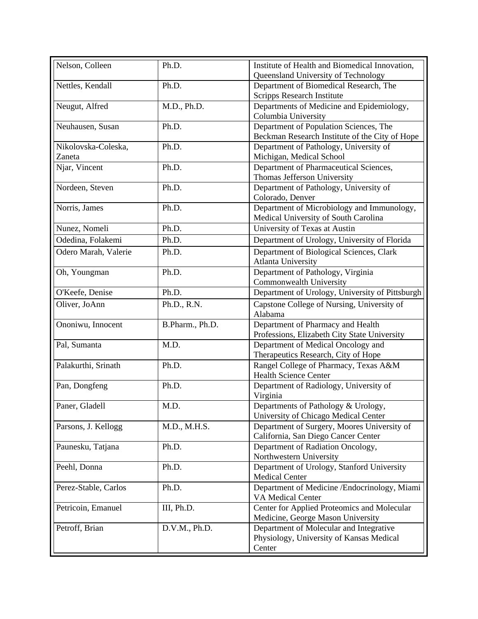| Nelson, Colleen               | Ph.D.           | Institute of Health and Biomedical Innovation,<br>Queensland University of Technology         |
|-------------------------------|-----------------|-----------------------------------------------------------------------------------------------|
| Nettles, Kendall              | Ph.D.           | Department of Biomedical Research, The<br>Scripps Research Institute                          |
| Neugut, Alfred                | M.D., Ph.D.     | Departments of Medicine and Epidemiology,<br>Columbia University                              |
| Neuhausen, Susan              | Ph.D.           | Department of Population Sciences, The<br>Beckman Research Institute of the City of Hope      |
| Nikolovska-Coleska,<br>Zaneta | Ph.D.           | Department of Pathology, University of<br>Michigan, Medical School                            |
| Njar, Vincent                 | Ph.D.           | Department of Pharmaceutical Sciences,<br>Thomas Jefferson University                         |
| Nordeen, Steven               | Ph.D.           | Department of Pathology, University of<br>Colorado, Denver                                    |
| Norris, James                 | Ph.D.           | Department of Microbiology and Immunology,<br>Medical University of South Carolina            |
| Nunez, Nomeli                 | Ph.D.           | University of Texas at Austin                                                                 |
| Odedina, Folakemi             | Ph.D.           | Department of Urology, University of Florida                                                  |
| Odero Marah, Valerie          | Ph.D.           | Department of Biological Sciences, Clark<br><b>Atlanta University</b>                         |
| Oh, Youngman                  | Ph.D.           | Department of Pathology, Virginia<br>Commonwealth University                                  |
| O'Keefe, Denise               | Ph.D.           | Department of Urology, University of Pittsburgh                                               |
| Oliver, JoAnn                 | Ph.D., R.N.     | Capstone College of Nursing, University of<br>Alabama                                         |
| Ononiwu, Innocent             | B.Pharm., Ph.D. | Department of Pharmacy and Health<br>Professions, Elizabeth City State University             |
| Pal, Sumanta                  | M.D.            | Department of Medical Oncology and<br>Therapeutics Research, City of Hope                     |
| Palakurthi, Srinath           | Ph.D.           | Rangel College of Pharmacy, Texas A&M<br><b>Health Science Center</b>                         |
| Pan, Dongfeng                 | Ph.D.           | Department of Radiology, University of<br>Virginia                                            |
| Paner, Gladell                | M.D.            | Departments of Pathology & Urology,<br>University of Chicago Medical Center                   |
| Parsons, J. Kellogg           | M.D., M.H.S.    | Department of Surgery, Moores University of<br>California, San Diego Cancer Center            |
| Paunesku, Tatjana             | Ph.D.           | Department of Radiation Oncology,<br>Northwestern University                                  |
| Peehl, Donna                  | Ph.D.           | Department of Urology, Stanford University<br><b>Medical Center</b>                           |
| Perez-Stable, Carlos          | Ph.D.           | Department of Medicine /Endocrinology, Miami<br>VA Medical Center                             |
| Petricoin, Emanuel            | III, Ph.D.      | Center for Applied Proteomics and Molecular<br>Medicine, George Mason University              |
| Petroff, Brian                | D.V.M., Ph.D.   | Department of Molecular and Integrative<br>Physiology, University of Kansas Medical<br>Center |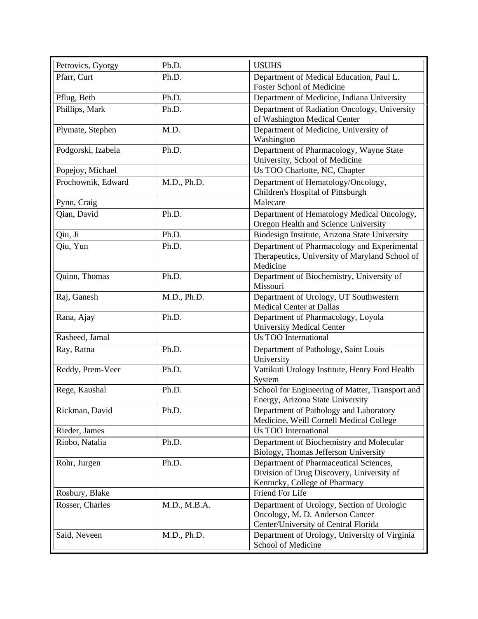| Petrovics, Gyorgy  | Ph.D.        | <b>USUHS</b>                                                                                                          |
|--------------------|--------------|-----------------------------------------------------------------------------------------------------------------------|
| Pfarr, Curt        | Ph.D.        | Department of Medical Education, Paul L.                                                                              |
|                    |              | Foster School of Medicine                                                                                             |
| Pflug, Beth        | Ph.D.        | Department of Medicine, Indiana University                                                                            |
| Phillips, Mark     | Ph.D.        | Department of Radiation Oncology, University<br>of Washington Medical Center                                          |
| Plymate, Stephen   | M.D.         | Department of Medicine, University of<br>Washington                                                                   |
| Podgorski, Izabela | Ph.D.        | Department of Pharmacology, Wayne State<br>University, School of Medicine                                             |
| Popejoy, Michael   |              | Us TOO Charlotte, NC, Chapter                                                                                         |
| Prochownik, Edward | M.D., Ph.D.  | Department of Hematology/Oncology,<br>Children's Hospital of Pittsburgh                                               |
| Pynn, Craig        |              | Malecare                                                                                                              |
| Qian, David        | Ph.D.        | Department of Hematology Medical Oncology,<br>Oregon Health and Science University                                    |
| Qiu, Ji            | Ph.D.        | Biodesign Institute, Arizona State University                                                                         |
| Qiu, Yun           | Ph.D.        | Department of Pharmacology and Experimental<br>Therapeutics, University of Maryland School of<br>Medicine             |
| Quinn, Thomas      | Ph.D.        | Department of Biochemistry, University of<br>Missouri                                                                 |
| Raj, Ganesh        | M.D., Ph.D.  | Department of Urology, UT Southwestern<br>Medical Center at Dallas                                                    |
| Rana, Ajay         | Ph.D.        | Department of Pharmacology, Loyola<br><b>University Medical Center</b>                                                |
| Rasheed, Jamal     |              | <b>Us TOO International</b>                                                                                           |
| Ray, Ratna         | Ph.D.        | Department of Pathology, Saint Louis<br>University                                                                    |
| Reddy, Prem-Veer   | Ph.D.        | Vattikuti Urology Institute, Henry Ford Health<br>System                                                              |
| Rege, Kaushal      | Ph.D.        | School for Engineering of Matter, Transport and<br>Energy, Arizona State University                                   |
| Rickman, David     | Ph.D.        | Department of Pathology and Laboratory<br>Medicine, Weill Cornell Medical College                                     |
| Rieder, James      |              | <b>Us TOO International</b>                                                                                           |
| Riobo, Natalia     | Ph.D.        | Department of Biochemistry and Molecular<br>Biology, Thomas Jefferson University                                      |
| Rohr, Jurgen       | Ph.D.        | Department of Pharmaceutical Sciences,<br>Division of Drug Discovery, University of<br>Kentucky, College of Pharmacy  |
| Rosbury, Blake     |              | Friend For Life                                                                                                       |
| Rosser, Charles    | M.D., M.B.A. | Department of Urology, Section of Urologic<br>Oncology, M. D. Anderson Cancer<br>Center/University of Central Florida |
| Said, Neveen       | M.D., Ph.D.  | Department of Urology, University of Virginia<br>School of Medicine                                                   |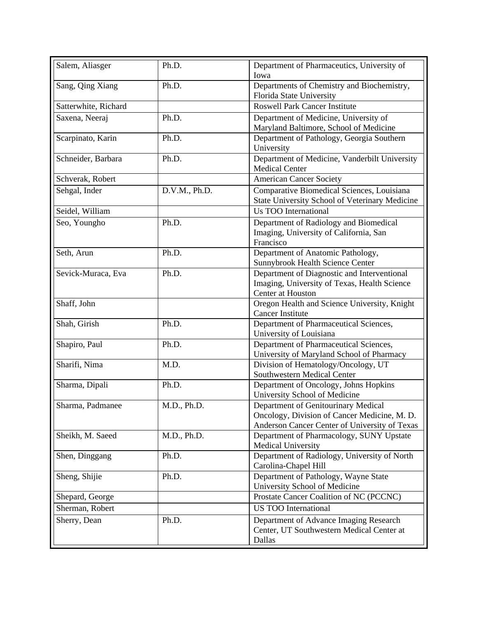| Salem, Aliasger      | Ph.D.         | Department of Pharmaceutics, University of<br>Iowa                                                                                   |
|----------------------|---------------|--------------------------------------------------------------------------------------------------------------------------------------|
| Sang, Qing Xiang     | Ph.D.         | Departments of Chemistry and Biochemistry,<br>Florida State University                                                               |
| Satterwhite, Richard |               | <b>Roswell Park Cancer Institute</b>                                                                                                 |
| Saxena, Neeraj       | Ph.D.         | Department of Medicine, University of<br>Maryland Baltimore, School of Medicine                                                      |
| Scarpinato, Karin    | Ph.D.         | Department of Pathology, Georgia Southern<br>University                                                                              |
| Schneider, Barbara   | Ph.D.         | Department of Medicine, Vanderbilt University<br><b>Medical Center</b>                                                               |
| Schverak, Robert     |               | <b>American Cancer Society</b>                                                                                                       |
| Sehgal, Inder        | D.V.M., Ph.D. | Comparative Biomedical Sciences, Louisiana<br>State University School of Veterinary Medicine                                         |
| Seidel, William      |               | <b>Us TOO International</b>                                                                                                          |
| Seo, Youngho         | Ph.D.         | Department of Radiology and Biomedical<br>Imaging, University of California, San<br>Francisco                                        |
| Seth, Arun           | Ph.D.         | Department of Anatomic Pathology,<br>Sunnybrook Health Science Center                                                                |
| Sevick-Muraca, Eva   | Ph.D.         | Department of Diagnostic and Interventional<br>Imaging, University of Texas, Health Science<br>Center at Houston                     |
| Shaff, John          |               | Oregon Health and Science University, Knight<br><b>Cancer Institute</b>                                                              |
| Shah, Girish         | Ph.D.         | Department of Pharmaceutical Sciences,<br>University of Louisiana                                                                    |
| Shapiro, Paul        | Ph.D.         | Department of Pharmaceutical Sciences,<br>University of Maryland School of Pharmacy                                                  |
| Sharifi, Nima        | M.D.          | Division of Hematology/Oncology, UT<br>Southwestern Medical Center                                                                   |
| Sharma, Dipali       | Ph.D.         | Department of Oncology, Johns Hopkins<br>University School of Medicine                                                               |
| Sharma, Padmanee     | M.D., Ph.D.   | Department of Genitourinary Medical<br>Oncology, Division of Cancer Medicine, M. D.<br>Anderson Cancer Center of University of Texas |
| Sheikh, M. Saeed     | M.D., Ph.D.   | Department of Pharmacology, SUNY Upstate<br>Medical University                                                                       |
| Shen, Dinggang       | Ph.D.         | Department of Radiology, University of North<br>Carolina-Chapel Hill                                                                 |
| Sheng, Shijie        | Ph.D.         | Department of Pathology, Wayne State<br>University School of Medicine                                                                |
| Shepard, George      |               | Prostate Cancer Coalition of NC (PCCNC)                                                                                              |
| Sherman, Robert      |               | <b>US TOO International</b>                                                                                                          |
| Sherry, Dean         | Ph.D.         | Department of Advance Imaging Research<br>Center, UT Southwestern Medical Center at<br>Dallas                                        |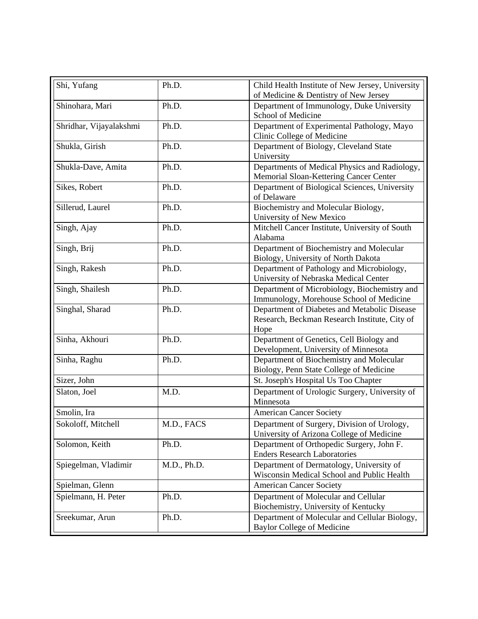| Shi, Yufang             | Ph.D.       | Child Health Institute of New Jersey, University<br>of Medicine & Dentistry of New Jersey             |
|-------------------------|-------------|-------------------------------------------------------------------------------------------------------|
| Shinohara, Mari         | Ph.D.       | Department of Immunology, Duke University                                                             |
|                         |             | School of Medicine                                                                                    |
| Shridhar, Vijayalakshmi | Ph.D.       | Department of Experimental Pathology, Mayo<br>Clinic College of Medicine                              |
| Shukla, Girish          | Ph.D.       | Department of Biology, Cleveland State<br>University                                                  |
| Shukla-Dave, Amita      | Ph.D.       | Departments of Medical Physics and Radiology,<br>Memorial Sloan-Kettering Cancer Center               |
| Sikes, Robert           | Ph.D.       | Department of Biological Sciences, University<br>of Delaware                                          |
| Sillerud, Laurel        | Ph.D.       | Biochemistry and Molecular Biology,<br>University of New Mexico                                       |
| Singh, Ajay             | Ph.D.       | Mitchell Cancer Institute, University of South<br>Alabama                                             |
| Singh, Brij             | Ph.D.       | Department of Biochemistry and Molecular<br>Biology, University of North Dakota                       |
| Singh, Rakesh           | Ph.D.       | Department of Pathology and Microbiology,<br>University of Nebraska Medical Center                    |
| Singh, Shailesh         | Ph.D.       | Department of Microbiology, Biochemistry and<br>Immunology, Morehouse School of Medicine              |
| Singhal, Sharad         | Ph.D.       | Department of Diabetes and Metabolic Disease<br>Research, Beckman Research Institute, City of<br>Hope |
| Sinha, Akhouri          | Ph.D.       | Department of Genetics, Cell Biology and<br>Development, University of Minnesota                      |
| Sinha, Raghu            | Ph.D.       | Department of Biochemistry and Molecular<br>Biology, Penn State College of Medicine                   |
| Sizer, John             |             | St. Joseph's Hospital Us Too Chapter                                                                  |
| Slaton, Joel            | M.D.        | Department of Urologic Surgery, University of<br>Minnesota                                            |
| Smolin, Ira             |             | <b>American Cancer Society</b>                                                                        |
| Sokoloff, Mitchell      | M.D., FACS  | Department of Surgery, Division of Urology,<br>University of Arizona College of Medicine              |
| Solomon, Keith          | Ph.D.       | Department of Orthopedic Surgery, John F.<br><b>Enders Research Laboratories</b>                      |
| Spiegelman, Vladimir    | M.D., Ph.D. | Department of Dermatology, University of<br>Wisconsin Medical School and Public Health                |
| Spielman, Glenn         |             | <b>American Cancer Society</b>                                                                        |
| Spielmann, H. Peter     | Ph.D.       | Department of Molecular and Cellular<br>Biochemistry, University of Kentucky                          |
| Sreekumar, Arun         | Ph.D.       | Department of Molecular and Cellular Biology,<br><b>Baylor College of Medicine</b>                    |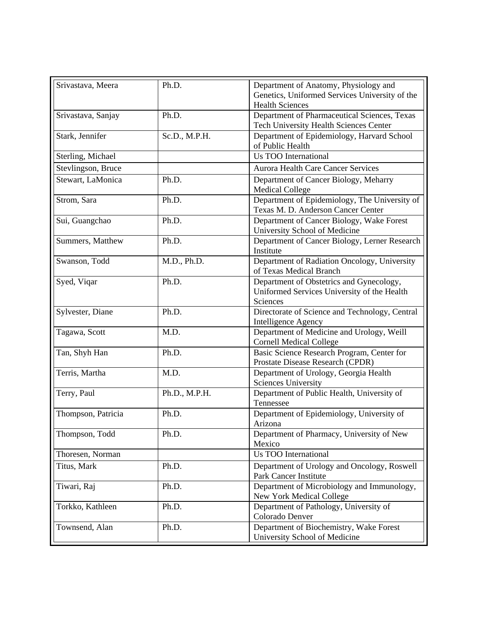| Srivastava, Meera  | Ph.D.         | Department of Anatomy, Physiology and<br>Genetics, Uniformed Services University of the<br><b>Health Sciences</b> |
|--------------------|---------------|-------------------------------------------------------------------------------------------------------------------|
| Srivastava, Sanjay | Ph.D.         | Department of Pharmaceutical Sciences, Texas<br>Tech University Health Sciences Center                            |
| Stark, Jennifer    | Sc.D., M.P.H. | Department of Epidemiology, Harvard School<br>of Public Health                                                    |
| Sterling, Michael  |               | <b>Us TOO International</b>                                                                                       |
| Stevlingson, Bruce |               | <b>Aurora Health Care Cancer Services</b>                                                                         |
| Stewart, LaMonica  | Ph.D.         | Department of Cancer Biology, Meharry<br><b>Medical College</b>                                                   |
| Strom, Sara        | Ph.D.         | Department of Epidemiology, The University of<br>Texas M. D. Anderson Cancer Center                               |
| Sui, Guangchao     | Ph.D.         | Department of Cancer Biology, Wake Forest<br>University School of Medicine                                        |
| Summers, Matthew   | Ph.D.         | Department of Cancer Biology, Lerner Research<br>Institute                                                        |
| Swanson, Todd      | M.D., Ph.D.   | Department of Radiation Oncology, University<br>of Texas Medical Branch                                           |
| Syed, Viqar        | Ph.D.         | Department of Obstetrics and Gynecology,<br>Uniformed Services University of the Health<br>Sciences               |
| Sylvester, Diane   | Ph.D.         | Directorate of Science and Technology, Central<br><b>Intelligence Agency</b>                                      |
| Tagawa, Scott      | M.D.          | Department of Medicine and Urology, Weill<br><b>Cornell Medical College</b>                                       |
| Tan, Shyh Han      | Ph.D.         | Basic Science Research Program, Center for<br>Prostate Disease Research (CPDR)                                    |
| Terris, Martha     | M.D.          | Department of Urology, Georgia Health<br><b>Sciences University</b>                                               |
| Terry, Paul        | Ph.D., M.P.H. | Department of Public Health, University of<br>Tennessee                                                           |
| Thompson, Patricia | Ph.D.         | Department of Epidemiology, University of<br>Arizona                                                              |
| Thompson, Todd     | Ph.D.         | Department of Pharmacy, University of New<br>Mexico                                                               |
| Thoresen, Norman   |               | <b>Us TOO International</b>                                                                                       |
| Titus, Mark        | Ph.D.         | Department of Urology and Oncology, Roswell<br><b>Park Cancer Institute</b>                                       |
| Tiwari, Raj        | Ph.D.         | Department of Microbiology and Immunology,<br>New York Medical College                                            |
| Torkko, Kathleen   | Ph.D.         | Department of Pathology, University of<br>Colorado Denver                                                         |
| Townsend, Alan     | Ph.D.         | Department of Biochemistry, Wake Forest<br>University School of Medicine                                          |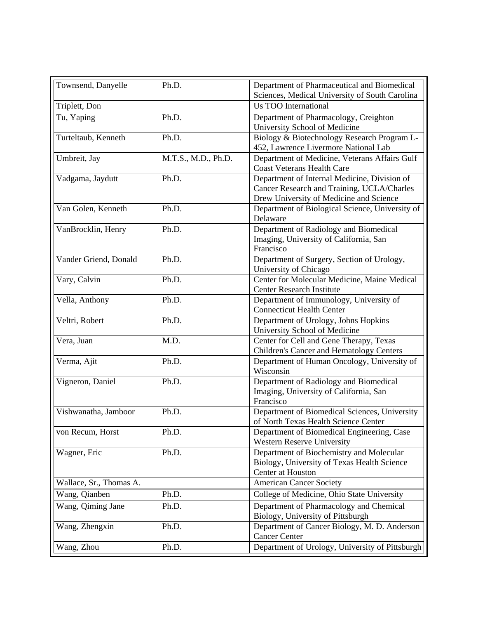| Townsend, Danyelle      | Ph.D.               | Department of Pharmaceutical and Biomedical<br>Sciences, Medical University of South Carolina                                         |
|-------------------------|---------------------|---------------------------------------------------------------------------------------------------------------------------------------|
| Triplett, Don           |                     | <b>Us TOO International</b>                                                                                                           |
| Tu, Yaping              | Ph.D.               | Department of Pharmacology, Creighton<br>University School of Medicine                                                                |
| Turteltaub, Kenneth     | Ph.D.               | Biology & Biotechnology Research Program L-<br>452, Lawrence Livermore National Lab                                                   |
| Umbreit, Jay            | M.T.S., M.D., Ph.D. | Department of Medicine, Veterans Affairs Gulf<br><b>Coast Veterans Health Care</b>                                                    |
| Vadgama, Jaydutt        | Ph.D.               | Department of Internal Medicine, Division of<br>Cancer Research and Training, UCLA/Charles<br>Drew University of Medicine and Science |
| Van Golen, Kenneth      | Ph.D.               | Department of Biological Science, University of<br>Delaware                                                                           |
| VanBrocklin, Henry      | Ph.D.               | Department of Radiology and Biomedical<br>Imaging, University of California, San<br>Francisco                                         |
| Vander Griend, Donald   | Ph.D.               | Department of Surgery, Section of Urology,<br>University of Chicago                                                                   |
| Vary, Calvin            | Ph.D.               | Center for Molecular Medicine, Maine Medical<br><b>Center Research Institute</b>                                                      |
| Vella, Anthony          | Ph.D.               | Department of Immunology, University of<br><b>Connecticut Health Center</b>                                                           |
| Veltri, Robert          | Ph.D.               | Department of Urology, Johns Hopkins<br>University School of Medicine                                                                 |
| Vera, Juan              | M.D.                | Center for Cell and Gene Therapy, Texas<br>Children's Cancer and Hematology Centers                                                   |
| Verma, Ajit             | Ph.D.               | Department of Human Oncology, University of<br>Wisconsin                                                                              |
| Vigneron, Daniel        | Ph.D.               | Department of Radiology and Biomedical<br>Imaging, University of California, San<br>Francisco                                         |
| Vishwanatha, Jamboor    | Ph.D.               | Department of Biomedical Sciences, University<br>of North Texas Health Science Center                                                 |
| von Recum, Horst        | Ph.D.               | Department of Biomedical Engineering, Case<br><b>Western Reserve University</b>                                                       |
| Wagner, Eric            | Ph.D.               | Department of Biochemistry and Molecular<br>Biology, University of Texas Health Science<br>Center at Houston                          |
| Wallace, Sr., Thomas A. |                     | <b>American Cancer Society</b>                                                                                                        |
| Wang, Qianben           | Ph.D.               | College of Medicine, Ohio State University                                                                                            |
| Wang, Qiming Jane       | Ph.D.               | Department of Pharmacology and Chemical<br>Biology, University of Pittsburgh                                                          |
| Wang, Zhengxin          | Ph.D.               | Department of Cancer Biology, M. D. Anderson<br><b>Cancer Center</b>                                                                  |
| Wang, Zhou              | Ph.D.               | Department of Urology, University of Pittsburgh                                                                                       |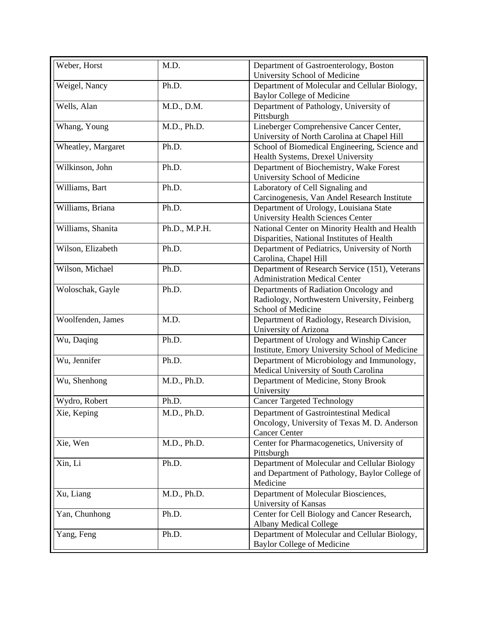| Weber, Horst       | M.D.          | Department of Gastroenterology, Boston                                             |
|--------------------|---------------|------------------------------------------------------------------------------------|
|                    |               | University School of Medicine                                                      |
| Weigel, Nancy      | Ph.D.         | Department of Molecular and Cellular Biology,<br><b>Baylor College of Medicine</b> |
| Wells, Alan        | M.D., D.M.    | Department of Pathology, University of                                             |
|                    |               | Pittsburgh                                                                         |
| Whang, Young       | M.D., Ph.D.   | Lineberger Comprehensive Cancer Center,                                            |
|                    |               | University of North Carolina at Chapel Hill                                        |
| Wheatley, Margaret | Ph.D.         | School of Biomedical Engineering, Science and                                      |
|                    |               | Health Systems, Drexel University                                                  |
| Wilkinson, John    | Ph.D.         | Department of Biochemistry, Wake Forest<br>University School of Medicine           |
| Williams, Bart     | Ph.D.         | Laboratory of Cell Signaling and                                                   |
|                    |               | Carcinogenesis, Van Andel Research Institute                                       |
| Williams, Briana   | Ph.D.         | Department of Urology, Louisiana State                                             |
|                    |               | <b>University Health Sciences Center</b>                                           |
| Williams, Shanita  | Ph.D., M.P.H. | National Center on Minority Health and Health                                      |
|                    |               | Disparities, National Institutes of Health                                         |
| Wilson, Elizabeth  | Ph.D.         | Department of Pediatrics, University of North                                      |
|                    |               | Carolina, Chapel Hill                                                              |
| Wilson, Michael    | Ph.D.         | Department of Research Service (151), Veterans                                     |
|                    |               | <b>Administration Medical Center</b>                                               |
| Woloschak, Gayle   | Ph.D.         | Departments of Radiation Oncology and                                              |
|                    |               | Radiology, Northwestern University, Feinberg                                       |
|                    |               | School of Medicine                                                                 |
| Woolfenden, James  | M.D.          | Department of Radiology, Research Division,                                        |
|                    |               | University of Arizona                                                              |
| Wu, Daqing         | Ph.D.         | Department of Urology and Winship Cancer                                           |
|                    |               | Institute, Emory University School of Medicine                                     |
| Wu, Jennifer       | Ph.D.         | Department of Microbiology and Immunology,                                         |
|                    |               | Medical University of South Carolina                                               |
| Wu, Shenhong       | M.D., Ph.D.   | Department of Medicine, Stony Brook                                                |
|                    |               | University                                                                         |
| Wydro, Robert      | Ph.D.         | <b>Cancer Targeted Technology</b>                                                  |
| Xie, Keping        | M.D., Ph.D.   | Department of Gastrointestinal Medical                                             |
|                    |               | Oncology, University of Texas M. D. Anderson                                       |
|                    |               | <b>Cancer Center</b>                                                               |
| Xie, Wen           | M.D., Ph.D.   | Center for Pharmacogenetics, University of                                         |
|                    |               | Pittsburgh                                                                         |
| Xin, Li            | Ph.D.         | Department of Molecular and Cellular Biology                                       |
|                    |               | and Department of Pathology, Baylor College of                                     |
|                    |               | Medicine                                                                           |
| Xu, Liang          | M.D., Ph.D.   | Department of Molecular Biosciences,                                               |
|                    |               | University of Kansas                                                               |
| Yan, Chunhong      | Ph.D.         | Center for Cell Biology and Cancer Research,                                       |
|                    |               | <b>Albany Medical College</b>                                                      |
| Yang, Feng         | Ph.D.         | Department of Molecular and Cellular Biology,                                      |
|                    |               | <b>Baylor College of Medicine</b>                                                  |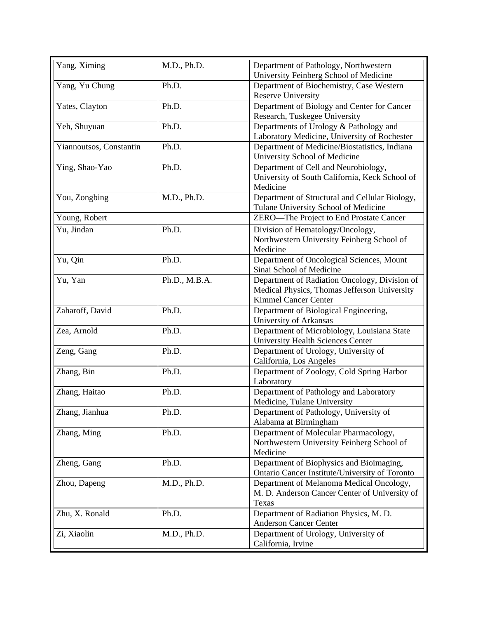| Yang, Ximing            | M.D., Ph.D.   | Department of Pathology, Northwestern          |
|-------------------------|---------------|------------------------------------------------|
|                         |               | University Feinberg School of Medicine         |
| Yang, Yu Chung          | Ph.D.         | Department of Biochemistry, Case Western       |
|                         |               | <b>Reserve University</b>                      |
| Yates, Clayton          | Ph.D.         | Department of Biology and Center for Cancer    |
|                         |               | Research, Tuskegee University                  |
| Yeh, Shuyuan            | Ph.D.         | Departments of Urology & Pathology and         |
|                         |               | Laboratory Medicine, University of Rochester   |
| Yiannoutsos, Constantin | Ph.D.         | Department of Medicine/Biostatistics, Indiana  |
|                         |               | University School of Medicine                  |
| Ying, Shao-Yao          | Ph.D.         | Department of Cell and Neurobiology,           |
|                         |               | University of South California, Keck School of |
|                         |               | Medicine                                       |
| You, Zongbing           | M.D., Ph.D.   | Department of Structural and Cellular Biology, |
|                         |               | Tulane University School of Medicine           |
| Young, Robert           |               | ZERO-The Project to End Prostate Cancer        |
| Yu, Jindan              | Ph.D.         | Division of Hematology/Oncology,               |
|                         |               | Northwestern University Feinberg School of     |
|                         |               | Medicine                                       |
| Yu, Qin                 | Ph.D.         | Department of Oncological Sciences, Mount      |
|                         |               | Sinai School of Medicine                       |
| Yu, Yan                 | Ph.D., M.B.A. | Department of Radiation Oncology, Division of  |
|                         |               | Medical Physics, Thomas Jefferson University   |
|                         |               | <b>Kimmel Cancer Center</b>                    |
| Zaharoff, David         | Ph.D.         | Department of Biological Engineering,          |
|                         |               | University of Arkansas                         |
| Zea, Arnold             | Ph.D.         | Department of Microbiology, Louisiana State    |
|                         |               | <b>University Health Sciences Center</b>       |
| Zeng, Gang              | Ph.D.         | Department of Urology, University of           |
|                         |               | California, Los Angeles                        |
| Zhang, Bin              | Ph.D.         | Department of Zoology, Cold Spring Harbor      |
|                         |               | Laboratory                                     |
| Zhang, Haitao           | Ph.D.         | Department of Pathology and Laboratory         |
|                         |               | Medicine, Tulane University                    |
| Zhang, Jianhua          | Ph.D.         | Department of Pathology, University of         |
|                         |               | Alabama at Birmingham                          |
| Zhang, Ming             | Ph.D.         | Department of Molecular Pharmacology,          |
|                         |               | Northwestern University Feinberg School of     |
|                         |               | Medicine                                       |
| Zheng, Gang             | Ph.D.         | Department of Biophysics and Bioimaging,       |
|                         |               | Ontario Cancer Institute/University of Toronto |
| Zhou, Dapeng            | M.D., Ph.D.   | Department of Melanoma Medical Oncology,       |
|                         |               | M. D. Anderson Cancer Center of University of  |
|                         |               | Texas                                          |
| Zhu, X. Ronald          | Ph.D.         | Department of Radiation Physics, M. D.         |
|                         |               | <b>Anderson Cancer Center</b>                  |
| Zi, Xiaolin             | M.D., Ph.D.   | Department of Urology, University of           |
|                         |               | California, Irvine                             |